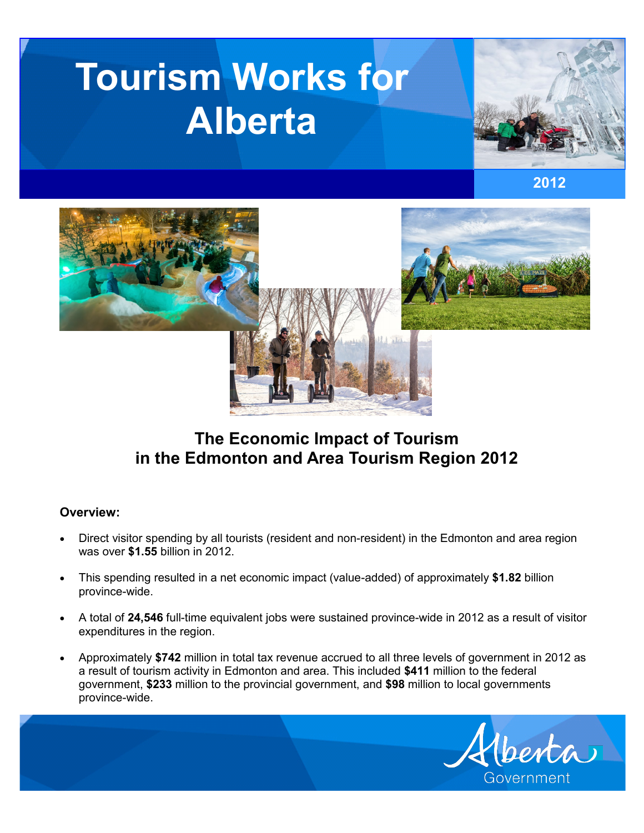# **Tourism Works for Alberta**







# **The Economic Impact of Tourism in the Edmonton and Area Tourism Region 2012**

# **Overview:**

- Direct visitor spending by all tourists (resident and non-resident) in the Edmonton and area region was over **\$1.55** billion in 2012.
- This spending resulted in a net economic impact (value-added) of approximately **\$1.82** billion province-wide.
- A total of **24,546** full-time equivalent jobs were sustained province-wide in 2012 as a result of visitor expenditures in the region.
- Approximately **\$742** million in total tax revenue accrued to all three levels of government in 2012 as a result of tourism activity in Edmonton and area. This included **\$411** million to the federal government, **\$233** million to the provincial government, and **\$98** million to local governments province-wide.

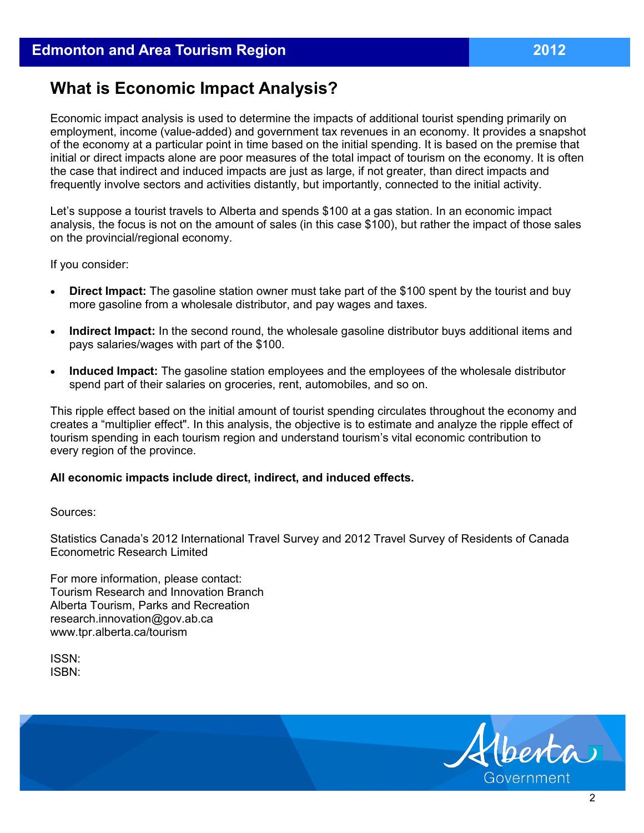# **What is Economic Impact Analysis?**

Economic impact analysis is used to determine the impacts of additional tourist spending primarily on employment, income (value-added) and government tax revenues in an economy. It provides a snapshot of the economy at a particular point in time based on the initial spending. It is based on the premise that initial or direct impacts alone are poor measures of the total impact of tourism on the economy. It is often the case that indirect and induced impacts are just as large, if not greater, than direct impacts and frequently involve sectors and activities distantly, but importantly, connected to the initial activity.

Let's suppose a tourist travels to Alberta and spends \$100 at a gas station. In an economic impact analysis, the focus is not on the amount of sales (in this case \$100), but rather the impact of those sales on the provincial/regional economy.

If you consider:

- **Direct Impact:** The gasoline station owner must take part of the \$100 spent by the tourist and buy more gasoline from a wholesale distributor, and pay wages and taxes.
- **Indirect Impact:** In the second round, the wholesale gasoline distributor buys additional items and pays salaries/wages with part of the \$100.
- **Induced Impact:** The gasoline station employees and the employees of the wholesale distributor spend part of their salaries on groceries, rent, automobiles, and so on.

This ripple effect based on the initial amount of tourist spending circulates throughout the economy and creates a "multiplier effect". In this analysis, the objective is to estimate and analyze the ripple effect of tourism spending in each tourism region and understand tourism's vital economic contribution to every region of the province.

#### **All economic impacts include direct, indirect, and induced effects.**

Sources:

Statistics Canada's 2012 International Travel Survey and 2012 Travel Survey of Residents of Canada Econometric Research Limited

For more information, please contact: Tourism Research and Innovation Branch Alberta Tourism, Parks and Recreation research.innovation@gov.ab.ca www.tpr.alberta.ca/tourism

ISSN: ISBN:

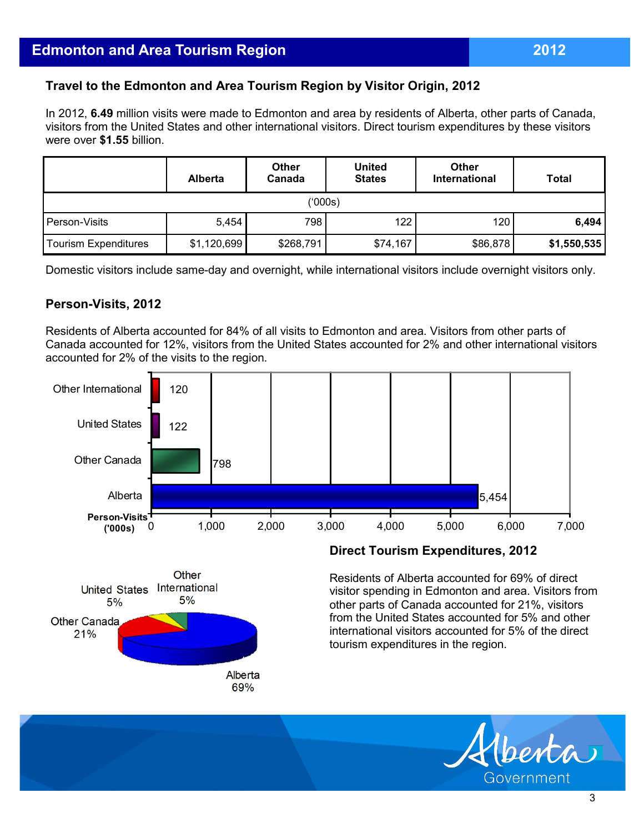# **Travel to the Edmonton and Area Tourism Region by Visitor Origin, 2012**

In 2012, **6.49** million visits were made to Edmonton and area by residents of Alberta, other parts of Canada, visitors from the United States and other international visitors. Direct tourism expenditures by these visitors were over **\$1.55** billion.

|                      | <b>Alberta</b> | <b>Other</b><br>Canada | <b>United</b><br><b>States</b> | <b>Other</b><br><b>International</b> | <b>Total</b> |  |  |  |
|----------------------|----------------|------------------------|--------------------------------|--------------------------------------|--------------|--|--|--|
| ('000s)              |                |                        |                                |                                      |              |  |  |  |
| Person-Visits        | 5,454          | 798                    | 122                            | 120                                  | 6,494        |  |  |  |
| Tourism Expenditures | \$1,120,699    | \$268,791              | \$74,167                       | \$86,878                             | \$1,550,535  |  |  |  |

Domestic visitors include same-day and overnight, while international visitors include overnight visitors only.

#### **Person-Visits, 2012**

Residents of Alberta accounted for 84% of all visits to Edmonton and area. Visitors from other parts of Canada accounted for 12%, visitors from the United States accounted for 2% and other international visitors accounted for 2% of the visits to the region.





#### **Direct Tourism Expenditures, 2012**

Residents of Alberta accounted for 69% of direct visitor spending in Edmonton and area. Visitors from other parts of Canada accounted for 21%, visitors from the United States accounted for 5% and other international visitors accounted for 5% of the direct tourism expenditures in the region.